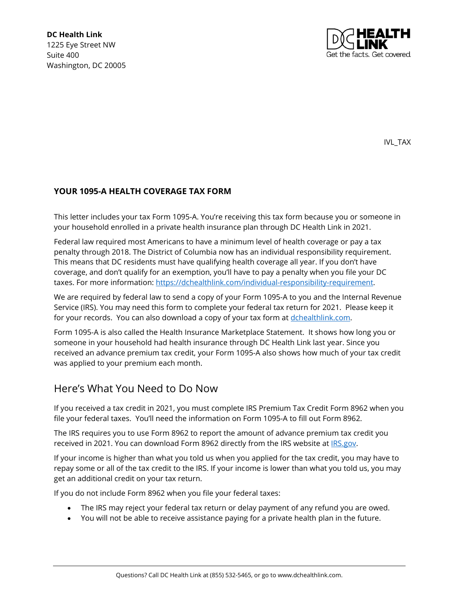

IVL\_TAX

#### **YOUR 1095-A HEALTH COVERAGE TAX FORM**

This letter includes your tax Form 1095-A. You're receiving this tax form because you or someone in your household enrolled in a private health insurance plan through DC Health Link in 2021.

Federal law required most Americans to have a minimum level of health coverage or pay a tax penalty through 2018. The District of Columbia now has an individual responsibility requirement. This means that DC residents must have qualifying health coverage all year. If you don't have coverage, and don't qualify for an exemption, you'll have to pay a penalty when you file your DC taxes. For more information: [https://dchealthlink.com/individual-responsibility-requirement.](https://dchealthlink.com/individual-responsibility-requirement)

We are required by federal law to send a copy of your Form 1095-A to you and the Internal Revenue Service (IRS). You may need this form to complete your federal tax return for 2021. Please keep it for your records. You can also download a copy of your tax form at [dchealthlink.com.](http://www.dchealthlink.com/)

Form 1095-A is also called the Health Insurance Marketplace Statement. It shows how long you or someone in your household had health insurance through DC Health Link last year. Since you received an advance premium tax credit, your Form 1095-A also shows how much of your tax credit was applied to your premium each month.

#### Here's What You Need to Do Now

If you received a tax credit in 2021, you must complete IRS Premium Tax Credit Form 8962 when you file your federal taxes. You'll need the information on Form 1095-A to fill out Form 8962.

The IRS requires you to use Form 8962 to report the amount of advance premium tax credit you received in 2021. You can download Form 8962 directly from the IRS website at IRS.gov.

If your income is higher than what you told us when you applied for the tax credit, you may have to repay some or all of the tax credit to the IRS. If your income is lower than what you told us, you may get an additional credit on your tax return.

If you do not include Form 8962 when you file your federal taxes:

- The IRS may reject your federal tax return or delay payment of any refund you are owed.
- You will not be able to receive assistance paying for a private health plan in the future.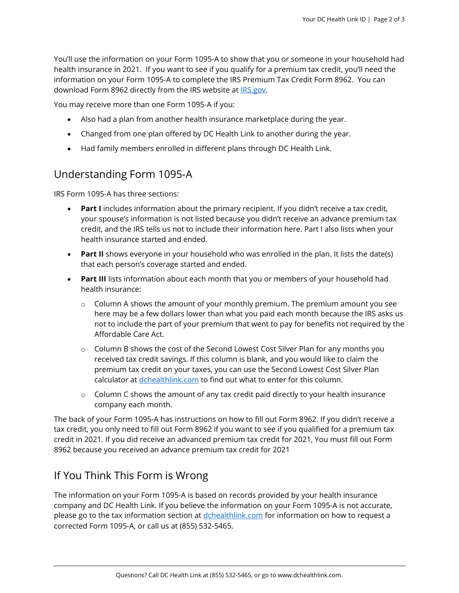You'll use the information on your Form 1095-A to show that you or someone in your household had health insurance in 2021. If you want to see if you qualify for a premium tax credit, you'll need the information on your Form 1095-A to complete the IRS Premium Tax Credit Form 8962. You can download Form 8962 directly from the IRS website at **IRS.gov**.

You may receive more than one Form 1095-A if you:

- Also had a plan from another health insurance marketplace during the year.
- Changed from one plan offered by DC Health Link to another during the year.
- Had family members enrolled in different plans through DC Health Link.

# Understanding Form 1095-A

IRS Form 1095-A has three sections:

- **Part I** includes information about the primary recipient. If you didn't receive a tax credit, your spouse's information is not listed because you didn't receive an advance premium tax credit, and the IRS tells us not to include their information here. Part I also lists when your health insurance started and ended.
- **Part II** shows everyone in your household who was enrolled in the plan. It lists the date(s) that each person's coverage started and ended.
- **Part III** lists information about each month that you or members of your household had health insurance:
	- $\circ$  Column A shows the amount of your monthly premium. The premium amount you see here may be a few dollars lower than what you paid each month because the IRS asks us not to include the part of your premium that went to pay for benefits not required by the Affordable Care Act.
	- $\circ$  Column B shows the cost of the Second Lowest Cost Silver Plan for any months you received tax credit savings. If this column is blank, and you would like to claim the premium tax credit on your taxes, you can use the Second Lowest Cost Silver Plan calculator at *dchealthlink.com* to find out what to enter for this column.
	- $\circ$  Column C shows the amount of any tax credit paid directly to your health insurance company each month.

The back of your Form 1095-A has instructions on how to fill out Form 8962. If you didn't receive a tax credit, you only need to fill out Form 8962 if you want to see if you qualified for a premium tax credit in 2021. If you did receive an advanced premium tax credit for 2021, You must fill out Form 8962 because you received an advance premium tax credit for 2021

# If You Think This Form is Wrong

The information on your Form 1095-A is based on records provided by your health insurance company and DC Health Link. If you believe the information on your Form 1095-A is not accurate, please go to the tax information section at [dchealthlink.com](http://www.dchealthlink.com/) for information on how to request a corrected Form 1095-A, or call us at (855) 532-5465.